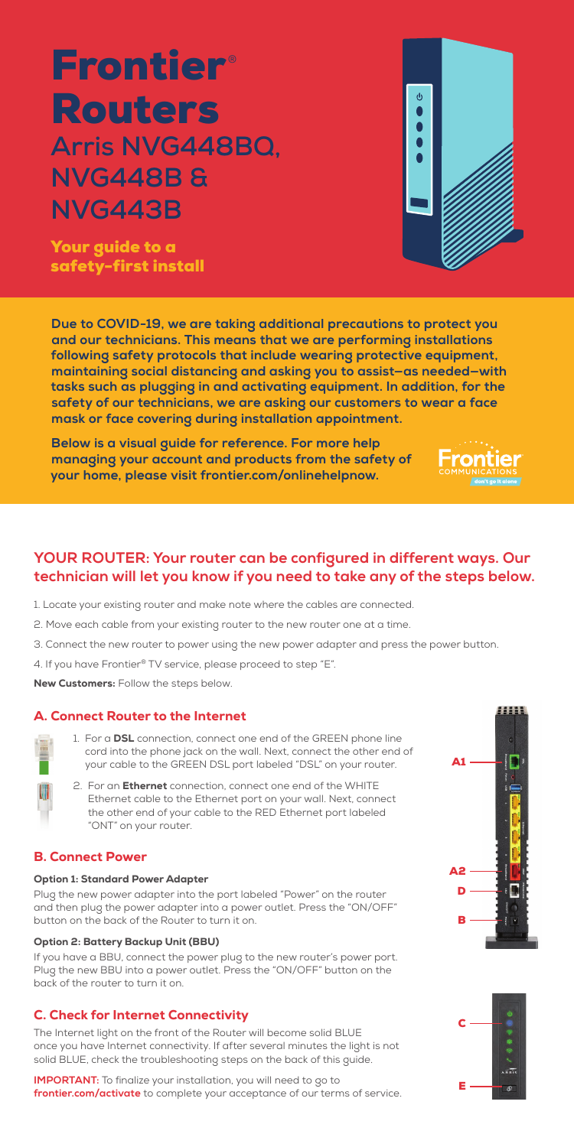# **Frontier**® Routers **Arris NVG448BQ, NVG448B & NVG443B**

Your guide to a safety-first install ψ

## **YOUR ROUTER: Your router can be configured in different ways. Our technician will let you know if you need to take any of the steps below.**

- 1. Locate your existing router and make note where the cables are connected.
- 2. Move each cable from your existing router to the new router one at a time.
- 3. Connect the new router to power using the new power adapter and press the power button.
- 4. If you have Frontier® TV service, please proceed to step "E".

New Customers: Follow the steps below.

- 
- 1. For a **DSL** connection, connect one end of the GREEN phone line cord into the phone jack on the wall. Next, connect the other end of your cable to the GREEN DSL port labeled "DSL" on your router.
- 2. For an **Ethernet** connection, connect one end of the WHITE Ethernet cable to the Ethernet port on your wall. Next, connect the other end of your cable to the RED Ethernet port labeled "ONT" on your router.

## A. Connect Router to the Internet

**IMPORTANT:** To finalize your installation, you will need to go to **frontier.com/activate** to complete your acceptance of our terms of service.

## B. Connect Power

#### Option 1: Standard Power Adapter

Plug the new power adapter into the port labeled "Power" on the router and then plug the power adapter into a power outlet. Press the "ON/OFF" button on the back of the Router to turn it on.

#### Option 2: Battery Backup Unit (BBU)

If you have a BBU, connect the power plug to the new router's power port. Plug the new BBU into a power outlet. Press the "ON/OFF" button on the back of the router to turn it on.

## C. Check for Internet Connectivity

The Internet light on the front of the Router will become solid BLUE once you have Internet connectivity. If after several minutes the light is not solid BLUE, check the troubleshooting steps on the back of this guide.







**Due to COVID-19, we are taking additional precautions to protect you and our technicians. This means that we are performing installations following safety protocols that include wearing protective equipment, maintaining social distancing and asking you to assist—as needed—with tasks such as plugging in and activating equipment. In addition, for the safety of our technicians, we are asking our customers to wear a face mask or face covering during installation appointment.** 

**Below is a visual guide for reference. For more help managing your account and products from the safety of your home, please visit frontier.com/onlinehelpnow.**